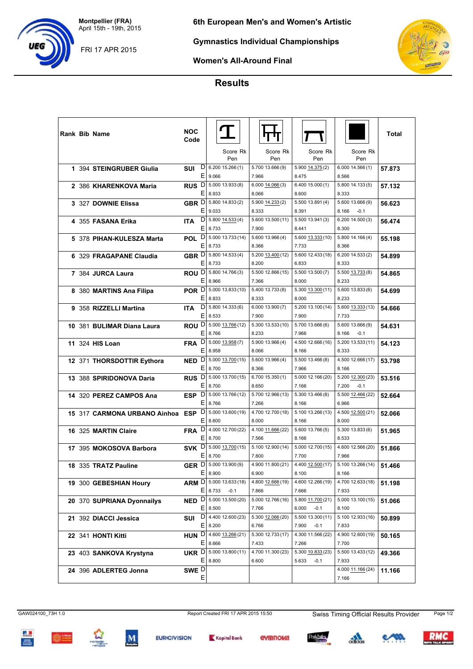**Montpellier (FRA)** April 15th - 19th, 2015 **6th European Men's and Women's Artistic**

FRI 17 APR 2015

**Gymnastics Individual Championships**



**Women's All-Around Final**

## **Results**

|  | <b>Rank Bib Name</b>             | NOC<br>Code                      |                                                |                            |                                      |                                      | Total  |
|--|----------------------------------|----------------------------------|------------------------------------------------|----------------------------|--------------------------------------|--------------------------------------|--------|
|  |                                  |                                  | Score Rk<br>Pen                                | Score Rk<br>Pen            | Score Rk<br>Pen                      | Score Rk<br>Pen                      |        |
|  | 1 394 STEINGRUBER Giulia         | D<br>SUI<br>E.                   | 6.20015.266(1)<br>9.066                        | 5.700 13.666 (9)<br>7.966  | 5.900 14.375 (2)<br>8.475            | 6.00014.566(1)<br>8.566              | 57.873 |
|  | 2 386 KHARENKOVA Maria           | RUS <sup>D</sup><br>E.           | 5.000 13.933 (8)<br>8.933                      | 6.000 14.066 (3)<br>8.066  | 6.400 15.000 (1)<br>8.600            | 5.800 14.133(5)<br>8.333             | 57.132 |
|  | 3 327 DOWNIE Elissa              | GBR D                            | 5.800 14.833 (2)<br>$E$   9.033                | 5.900 14.233 (2)<br>8.333  | 5.500 13.891 (4)<br>8.391            | 5.600 13.666 (9)<br>8.166<br>$-0.1$  | 56.623 |
|  | 4 355 FASANA Erika               | $\mathsf{D}$<br><b>ITA</b><br>EI | 5.800 14.533 (4)<br>8.733                      | 5.600 13.500 (11)<br>7.900 | 5.500 13.941 (3)<br>8.441            | 6.200 14.500 (3)<br>8.300            | 56.474 |
|  | 5 378 PIHAN-KULESZA Marta        | DI<br><b>POL</b><br>E.           | 5.000 13.733 (14)<br>8.733                     | 5.600 13.966 (4)<br>8.366  | 5.600 13.333 (10)<br>7.733           | 5.800 14.166 (4)<br>8.366            | 55.198 |
|  | 6 329 FRAGAPANE Claudia          | GBR <sup>D </sup>                | 5.800 14.533 (4)<br>E 8.733                    | 5.200 13.400 (12)<br>8.200 | 5.600 12.433 (18)<br>6.833           | 6.200 14.533(2)<br>8.333             | 54.899 |
|  | 7 384 JURCA Laura                |                                  | ROU D 5.800 14.766 (3)<br>E 8.966              | 5.500 12.866 (15)<br>7.366 | 5.500 13.500 (7)<br>8.000            | 5.500 13.733 (8)<br>8.233            | 54.865 |
|  | 8 380 MARTINS Ana Filipa         | E.                               | POR D 5.000 13.833 (10)<br>8.833               | 5.400 13.733 (8)<br>8.333  | $5.300$ $13.300$ (11)<br>8.000       | 5.600 13.833 (6)<br>8.233            | 54.699 |
|  | 9 358 RIZZELLI Martina           | $\mathsf{D}$<br><b>ITA</b>       | 5.800 14.333 (6)<br>E 8.533                    | 6.000 13.900 (7)<br>7.900  | 5.200 13.100 (14)<br>7.900           | 5.600 13.333 (13)<br>7.733           | 54.666 |
|  | 10 381 BULIMAR Diana Laura       |                                  | ROU D 5.000 13.766 (12)<br>E 8.766             | 5.300 13.533 (10)<br>8.233 | 5.700 13.666 (6)<br>7.966            | 5.600 13.666 (9)<br>8.166<br>$-0.1$  | 54.631 |
|  | 11 324 HIS Loan                  | <sup>D</sup><br><b>FRA</b><br>EI | $5.000$ $13.958(7)$<br>8.958                   | 5.900 13.966 (4)<br>8.066  | 4.500 12.666 (16)<br>8.166           | 5.200 13.533 (11)<br>8.333           | 54.123 |
|  | 12 371 THORSDOTTIR Eythora       | <sup>D</sup><br><b>NED</b>       | 5.000 13.700 (15)<br>E 8.700                   | 5.600 13.966 (4)<br>8.366  | 5.500 13.466 (8)<br>7.966            | 4.500 12.666 (17)<br>8.166           | 53.798 |
|  | 13 388 SPIRIDONOVA Daria         | ΕI                               | <b>RUS</b> D 5.000 13.700 (15)<br>8.700        | 6.70015.350(1)<br>8.650    | 5.000 12.166 (20)<br>7.166           | 5.200 12.300 (23)<br>7.200<br>$-0.1$ | 53.516 |
|  | 14 320 PEREZ CAMPOS Ana          | ESP <sup>D</sup><br>E.           | 5.000 13.766 (12)<br>8.766                     | 5.700 12.966 (13)<br>7.266 | 5.300 13.466 (8)<br>8.166            | 5.500 12.466 (22)<br>6.966           | 52.664 |
|  | 15 317 CARMONA URBANO Ainhoa ESP | וט                               | 5.000 13.600 (19)<br>E 8.600                   | 4.700 12.700 (18)<br>8.000 | 5.100 13.266 (13)<br>8.166           | 4.500 12.500 (21)<br>8.000           | 52.066 |
|  | 16 325 MARTIN Claire             | <sup>D</sup><br><b>FRA</b><br>EI | 4.000 12.700 (22)<br>8.700                     | 4.100 11.666 (22)<br>7.566 | 5.600 13.766 (5)<br>8.166            | 5.300 13.833 (6)<br>8.533            | 51.965 |
|  | 17 395 MOKOSOVA Barbora          | SVK D<br>E.                      | 5.000 13.700 (15)<br>8.700                     | 5.100 12.900 (14)<br>7.800 | 5.000 12.700 (15)<br>7.700           | 4.600 12.566 (20)<br>7.966           | 51.866 |
|  | 18 335 TRATZ Pauline             |                                  | GER D 5.000 13.900 (9)<br>E 8.900              | 4.900 11.800 (21)<br>6.900 | 4.400 12.500 (17)<br>8.100           | 5.100 13.266 (14)<br>8.166           | 51.466 |
|  | 19 300 GEBESHIAN Houry           |                                  | ARM D 5.000 13.633 (18)<br>$E$ 8.733<br>$-0.1$ | 4.800 12.666 (19)<br>7.866 | 4.600 12.266 (19)<br>7.666           | 4.700 12.633 (18)<br>7.933           | 51.198 |
|  | 20 370 SUPRIANA Dyonnailys       |                                  | <b>NED</b> $D  5.000 13.500 (20)$<br>E 8.500   | 5.000 12.766 (16)<br>7.766 | 5.800 11.700 (21)<br>6.000<br>$-0.1$ | 5.000 13.100 (15)<br>8.100           | 51.066 |
|  | 21 392 DIACCI Jessica            | SUI                              | $D$   4.400 12.600 (23)<br>E 8.200             | 5.300 12.066 (20)<br>6.766 | 5.500 13.300 (11)<br>7.900<br>$-0.1$ | 5.100 12.933 (16)<br>7.833           | 50.899 |
|  | 22 341 HONTI Kitti               | ΕI                               | <b>HUN</b> $D$ 4.600 13.266 (21)<br>8.666      | 5.300 12.733 (17)<br>7.433 | 4.300 11.566 (22)<br>7.266           | 4.900 12.600 (19)<br>7.700           | 50.165 |
|  | 23 403 SANKOVA Krystyna          |                                  | UKR D 5.000 13.800 (11)<br>E 8.800             | 4.700 11.300 (23)<br>6.600 | 5.300 10.833 (23)<br>5.633<br>$-0.1$ | 5.500 13.433 (12)<br>7.933           | 49.366 |
|  | 24 396 ADLERTEG Jonna            | SWE D<br>Ε                       |                                                |                            |                                      | 4.000 11.166 (24)<br>7.166           | 11.166 |







$$
\mathsf{G}\text{-}\mathsf{M}\mathsf{M}\mathsf{M}
$$